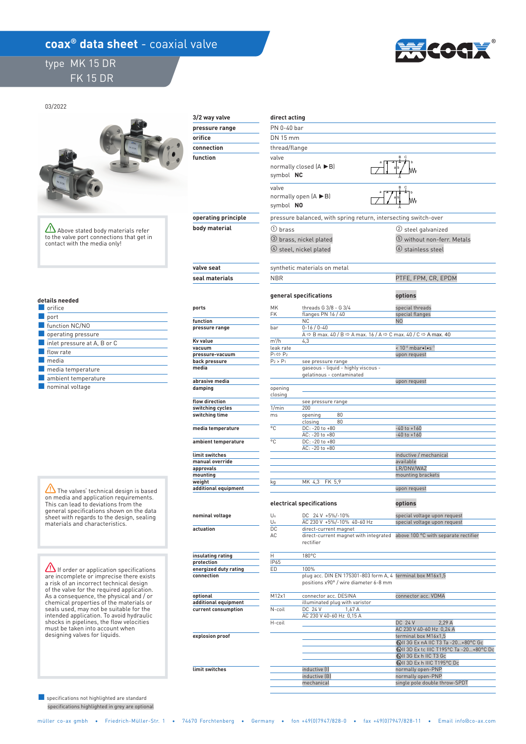## **coax<sup>®</sup> data sheet** - coaxial valve

## type MK 15 DR FK 15 DR



03/2022



Above stated body materials refer to the valve port connections that get in contact with the media only!

| details needed |
|----------------|
|                |

| orifice                                         |
|-------------------------------------------------|
| port                                            |
| function NC/NO                                  |
| operating pressure                              |
| $\blacksquare$ inlet pressure at A, B or C      |
| flow rate                                       |
| media                                           |
| media temperature                               |
| ambient temperature                             |
| the contract of the contract of the contract of |

■ nominal voltage

The valves' technical design is based on media and application requirements. This can lead to deviations from the general specifications shown on the data sheet with regards to the design, sealing materials and characteristics.

**If order or application specifications** are incomplete or imprecise there exists a risk of an incorrect technical design of the valve for the required application. As a consequence, the physical and / or chemical properties of the materials or seals used, may not be suitable for the intended application. To avoid hydraulic shocks in pipelines, the flow velocities must be taken into account when designing valves for liquids.

 specifications highlighted in grey are optional ■ specifications not highlighted are standard

| 3/2 way valve                | direct acting             |                                                                                                                               |                                                              |  |  |
|------------------------------|---------------------------|-------------------------------------------------------------------------------------------------------------------------------|--------------------------------------------------------------|--|--|
| pressure range               |                           | PN 0-40 bar                                                                                                                   |                                                              |  |  |
| orifice                      |                           | DN 15 mm                                                                                                                      |                                                              |  |  |
| connection                   | thread/flange             |                                                                                                                               |                                                              |  |  |
| function                     | valve                     |                                                                                                                               |                                                              |  |  |
|                              | symbol NC                 | normally closed $(A \triangleright B)$                                                                                        |                                                              |  |  |
|                              | valve<br>symbol NO        | normally open $(A \triangleright B)$                                                                                          |                                                              |  |  |
| operating principle          |                           | pressure balanced, with spring return, intersecting switch-over                                                               |                                                              |  |  |
| body material                | $(1)$ brass               |                                                                                                                               | (2) steel galvanized                                         |  |  |
|                              |                           | <b>3</b> brass, nickel plated                                                                                                 | 5 without non-ferr. Metals                                   |  |  |
|                              |                           | $(4)$ steel, nickel plated                                                                                                    | $\circ$ stainless steel                                      |  |  |
| valve seat                   |                           | synthetic materials on metal                                                                                                  |                                                              |  |  |
| seal materials               | <b>NBR</b>                |                                                                                                                               | PTFE, FPM, CR, EPDM                                          |  |  |
|                              |                           | general specifications                                                                                                        | options                                                      |  |  |
| ports                        | MK                        | threads G 3/8 - G 3/4                                                                                                         | special threads                                              |  |  |
| function                     | FK                        | flanges PN 16 / 40<br><b>NC</b>                                                                                               | special flanges<br>N <sub>0</sub>                            |  |  |
| pressure range               | bar                       | $0 - 16 / 0 - 40$                                                                                                             |                                                              |  |  |
|                              |                           | A $\Leftrightarrow$ B max. 40 / B $\Leftrightarrow$ A max. 16 / A $\Leftrightarrow$ C max. 40 / C $\Leftrightarrow$ A max. 40 |                                                              |  |  |
| Kv value<br>vacuum           | $m^3/h$<br>leak rate      | 4,3                                                                                                                           | < 10 <sup>-6</sup> mbar.l.s <sup>-1</sup>                    |  |  |
| pressure-vacuum              | $P_1 \Leftrightarrow P_2$ |                                                                                                                               | upon request                                                 |  |  |
| back pressure                | $P_2 > P_1$               | see pressure range                                                                                                            |                                                              |  |  |
| media                        |                           | gaseous - liquid - highly viscous -<br>gelatinous - contaminated                                                              |                                                              |  |  |
| abrasive media               |                           |                                                                                                                               | upon request                                                 |  |  |
| damping                      | opening                   |                                                                                                                               |                                                              |  |  |
| flow direction               | closing                   |                                                                                                                               |                                                              |  |  |
| switching cycles             | 1/min                     | see pressure range<br>200                                                                                                     |                                                              |  |  |
| switching time               | ms                        | 80<br>opening                                                                                                                 |                                                              |  |  |
|                              |                           | 80<br>closing                                                                                                                 |                                                              |  |  |
| media temperature            | °C                        | DC: -20 to +80<br>AC: -20 to +80                                                                                              | $-40$ to $+160$<br>$-40$ to $+160$                           |  |  |
| ambient temperature          | °C                        | DC: -20 to +80                                                                                                                |                                                              |  |  |
|                              |                           | AC: - 20 to +80                                                                                                               |                                                              |  |  |
| limit switches               |                           |                                                                                                                               | inductive / mechanical                                       |  |  |
| manual override<br>approvals |                           |                                                                                                                               | available<br>LR/DNV/WAZ                                      |  |  |
| mounting                     |                           |                                                                                                                               | mounting brackets                                            |  |  |
| weight                       | kg                        | MK 4,3 FK 5,9                                                                                                                 |                                                              |  |  |
| additional equipment         |                           |                                                                                                                               | upon request                                                 |  |  |
|                              |                           | electrical specifications                                                                                                     | options                                                      |  |  |
|                              |                           |                                                                                                                               |                                                              |  |  |
| nominal voltage              | $U_n$<br>Un               | DC 24 V +5%/-10%<br>AC 230 V +5%/-10% 40-60 Hz                                                                                | special voltage upon request<br>special voltage upon request |  |  |
| actuation                    | DC                        | direct-current magnet                                                                                                         |                                                              |  |  |
|                              | AC                        | direct-current magnet with integrated<br>rectifier                                                                            | above 100 °C with separate rectifier                         |  |  |
| insulating rating            | H                         | 180°C                                                                                                                         |                                                              |  |  |
| protection                   | IP65                      |                                                                                                                               |                                                              |  |  |
|                              |                           |                                                                                                                               |                                                              |  |  |

 IP65  **energized duty rating** 

 **optional additional equipment** 

 **current consumption** 

 **explosion proof** 

 **connection** 

 **limit switches** 

| ED     | 100%                                                       |                                                |
|--------|------------------------------------------------------------|------------------------------------------------|
|        | plug acc. DIN EN 175301-803 form A, 4 terminal box M16x1,5 |                                                |
|        | positions x90° / wire diameter 6-8 mm                      |                                                |
| M12x1  | connector acc. DESINA                                      | connector acc. VDMA                            |
|        | illuminated plug with varistor                             |                                                |
| N-coil | DC 24 V<br>1.67A                                           |                                                |
|        | AC 230 V 40-60 Hz 0.15 A                                   |                                                |
| H-coil |                                                            | DC 24 V<br>2.29A                               |
|        |                                                            | AC 230 V 40-60 Hz 0,24 A                       |
|        |                                                            | terminal box M16x1,5                           |
|        |                                                            | (x) II 3G Ex nA IIC T3 Ta -20+80°C Gc          |
|        |                                                            | (x)    3D Ex tc    C T195°C Ta -20+80°C Dc     |
|        |                                                            | $\langle \Omega \rangle$    3G Ex h    C T3 Gc |
|        |                                                            | <b>WILSO Ex h IIIC T195°C Dc</b>               |
|        | inductive [I]                                              | normally open-PNP                              |
|        | inductive (B)                                              | normally open-PNP                              |
|        | mechanical                                                 | single pole double throw-SPDT                  |